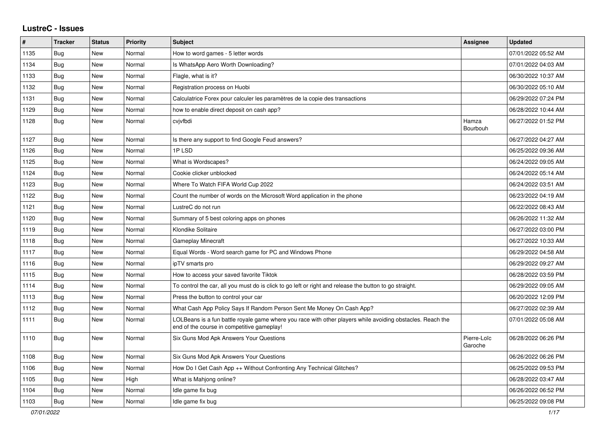## **LustreC - Issues**

| ∦    | <b>Tracker</b> | <b>Status</b> | <b>Priority</b> | <b>Subject</b>                                                                                                                                           | Assignee               | <b>Updated</b>      |
|------|----------------|---------------|-----------------|----------------------------------------------------------------------------------------------------------------------------------------------------------|------------------------|---------------------|
| 1135 | Bug            | New           | Normal          | How to word games - 5 letter words                                                                                                                       |                        | 07/01/2022 05:52 AM |
| 1134 | Bug            | <b>New</b>    | Normal          | Is WhatsApp Aero Worth Downloading?                                                                                                                      |                        | 07/01/2022 04:03 AM |
| 1133 | <b>Bug</b>     | <b>New</b>    | Normal          | Flagle, what is it?                                                                                                                                      |                        | 06/30/2022 10:37 AM |
| 1132 | Bug            | New           | Normal          | Registration process on Huobi                                                                                                                            |                        | 06/30/2022 05:10 AM |
| 1131 | Bug            | <b>New</b>    | Normal          | Calculatrice Forex pour calculer les paramètres de la copie des transactions                                                                             |                        | 06/29/2022 07:24 PM |
| 1129 | <b>Bug</b>     | New           | Normal          | how to enable direct deposit on cash app?                                                                                                                |                        | 06/28/2022 10:44 AM |
| 1128 | <b>Bug</b>     | New           | Normal          | cvjvfbdi                                                                                                                                                 | Hamza<br>Bourbouh      | 06/27/2022 01:52 PM |
| 1127 | <b>Bug</b>     | New           | Normal          | Is there any support to find Google Feud answers?                                                                                                        |                        | 06/27/2022 04:27 AM |
| 1126 | Bug            | New           | Normal          | 1PLSD                                                                                                                                                    |                        | 06/25/2022 09:36 AM |
| 1125 | Bug            | <b>New</b>    | Normal          | What is Wordscapes?                                                                                                                                      |                        | 06/24/2022 09:05 AM |
| 1124 | <b>Bug</b>     | New           | Normal          | Cookie clicker unblocked                                                                                                                                 |                        | 06/24/2022 05:14 AM |
| 1123 | Bug            | <b>New</b>    | Normal          | Where To Watch FIFA World Cup 2022                                                                                                                       |                        | 06/24/2022 03:51 AM |
| 1122 | <b>Bug</b>     | <b>New</b>    | Normal          | Count the number of words on the Microsoft Word application in the phone                                                                                 |                        | 06/23/2022 04:19 AM |
| 1121 | <b>Bug</b>     | <b>New</b>    | Normal          | LustreC do not run                                                                                                                                       |                        | 06/22/2022 08:43 AM |
| 1120 | Bug            | <b>New</b>    | Normal          | Summary of 5 best coloring apps on phones                                                                                                                |                        | 06/26/2022 11:32 AM |
| 1119 | Bug            | New           | Normal          | Klondike Solitaire                                                                                                                                       |                        | 06/27/2022 03:00 PM |
| 1118 | Bug            | New           | Normal          | <b>Gameplay Minecraft</b>                                                                                                                                |                        | 06/27/2022 10:33 AM |
| 1117 | Bug            | New           | Normal          | Equal Words - Word search game for PC and Windows Phone                                                                                                  |                        | 06/29/2022 04:58 AM |
| 1116 | <b>Bug</b>     | <b>New</b>    | Normal          | ipTV smarts pro                                                                                                                                          |                        | 06/29/2022 09:27 AM |
| 1115 | Bug            | New           | Normal          | How to access your saved favorite Tiktok                                                                                                                 |                        | 06/28/2022 03:59 PM |
| 1114 | Bug            | <b>New</b>    | Normal          | To control the car, all you must do is click to go left or right and release the button to go straight.                                                  |                        | 06/29/2022 09:05 AM |
| 1113 | <b>Bug</b>     | <b>New</b>    | Normal          | Press the button to control your car                                                                                                                     |                        | 06/20/2022 12:09 PM |
| 1112 | Bug            | New           | Normal          | What Cash App Policy Says If Random Person Sent Me Money On Cash App?                                                                                    |                        | 06/27/2022 02:39 AM |
| 1111 | Bug            | New           | Normal          | LOLBeans is a fun battle royale game where you race with other players while avoiding obstacles. Reach the<br>end of the course in competitive gameplay! |                        | 07/01/2022 05:08 AM |
| 1110 | Bug            | <b>New</b>    | Normal          | Six Guns Mod Apk Answers Your Questions                                                                                                                  | Pierre-Loïc<br>Garoche | 06/28/2022 06:26 PM |
| 1108 | <b>Bug</b>     | <b>New</b>    | Normal          | Six Guns Mod Apk Answers Your Questions                                                                                                                  |                        | 06/26/2022 06:26 PM |
| 1106 | Bug            | <b>New</b>    | Normal          | How Do I Get Cash App ++ Without Confronting Any Technical Glitches?                                                                                     |                        | 06/25/2022 09:53 PM |
| 1105 | Bug            | New           | High            | What is Mahjong online?                                                                                                                                  |                        | 06/28/2022 03:47 AM |
| 1104 | Bug            | New           | Normal          | Idle game fix bug                                                                                                                                        |                        | 06/26/2022 06:52 PM |
| 1103 | Bug            | New           | Normal          | Idle game fix bug                                                                                                                                        |                        | 06/25/2022 09:08 PM |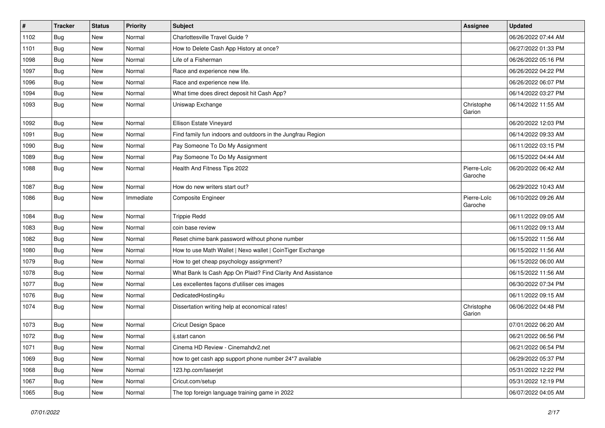| $\pmb{\sharp}$ | <b>Tracker</b> | <b>Status</b> | <b>Priority</b> | <b>Subject</b>                                              | <b>Assignee</b>        | <b>Updated</b>      |
|----------------|----------------|---------------|-----------------|-------------------------------------------------------------|------------------------|---------------------|
| 1102           | Bug            | <b>New</b>    | Normal          | Charlottesville Travel Guide?                               |                        | 06/26/2022 07:44 AM |
| 1101           | <b>Bug</b>     | <b>New</b>    | Normal          | How to Delete Cash App History at once?                     |                        | 06/27/2022 01:33 PM |
| 1098           | <b>Bug</b>     | New           | Normal          | Life of a Fisherman                                         |                        | 06/26/2022 05:16 PM |
| 1097           | Bug            | New           | Normal          | Race and experience new life.                               |                        | 06/26/2022 04:22 PM |
| 1096           | <b>Bug</b>     | <b>New</b>    | Normal          | Race and experience new life.                               |                        | 06/26/2022 06:07 PM |
| 1094           | Bug            | New           | Normal          | What time does direct deposit hit Cash App?                 |                        | 06/14/2022 03:27 PM |
| 1093           | <b>Bug</b>     | New           | Normal          | Uniswap Exchange                                            | Christophe<br>Garion   | 06/14/2022 11:55 AM |
| 1092           | <b>Bug</b>     | <b>New</b>    | Normal          | Ellison Estate Vineyard                                     |                        | 06/20/2022 12:03 PM |
| 1091           | <b>Bug</b>     | <b>New</b>    | Normal          | Find family fun indoors and outdoors in the Jungfrau Region |                        | 06/14/2022 09:33 AM |
| 1090           | <b>Bug</b>     | <b>New</b>    | Normal          | Pay Someone To Do My Assignment                             |                        | 06/11/2022 03:15 PM |
| 1089           | <b>Bug</b>     | New           | Normal          | Pay Someone To Do My Assignment                             |                        | 06/15/2022 04:44 AM |
| 1088           | <b>Bug</b>     | New           | Normal          | Health And Fitness Tips 2022                                | Pierre-Loïc<br>Garoche | 06/20/2022 06:42 AM |
| 1087           | <b>Bug</b>     | <b>New</b>    | Normal          | How do new writers start out?                               |                        | 06/29/2022 10:43 AM |
| 1086           | Bug            | New           | Immediate       | Composite Engineer                                          | Pierre-Loïc<br>Garoche | 06/10/2022 09:26 AM |
| 1084           | <b>Bug</b>     | New           | Normal          | <b>Trippie Redd</b>                                         |                        | 06/11/2022 09:05 AM |
| 1083           | <b>Bug</b>     | New           | Normal          | coin base review                                            |                        | 06/11/2022 09:13 AM |
| 1082           | Bug            | New           | Normal          | Reset chime bank password without phone number              |                        | 06/15/2022 11:56 AM |
| 1080           | Bug            | <b>New</b>    | Normal          | How to use Math Wallet   Nexo wallet   CoinTiger Exchange   |                        | 06/15/2022 11:56 AM |
| 1079           | <b>Bug</b>     | <b>New</b>    | Normal          | How to get cheap psychology assignment?                     |                        | 06/15/2022 06:00 AM |
| 1078           | <b>Bug</b>     | <b>New</b>    | Normal          | What Bank Is Cash App On Plaid? Find Clarity And Assistance |                        | 06/15/2022 11:56 AM |
| 1077           | Bug            | New           | Normal          | Les excellentes façons d'utiliser ces images                |                        | 06/30/2022 07:34 PM |
| 1076           | <b>Bug</b>     | New           | Normal          | DedicatedHosting4u                                          |                        | 06/11/2022 09:15 AM |
| 1074           | Bug            | <b>New</b>    | Normal          | Dissertation writing help at economical rates!              | Christophe<br>Garion   | 06/06/2022 04:48 PM |
| 1073           | Bug            | <b>New</b>    | Normal          | Cricut Design Space                                         |                        | 07/01/2022 06:20 AM |
| 1072           | <b>Bug</b>     | New           | Normal          | ij.start canon                                              |                        | 06/21/2022 06:56 PM |
| 1071           | <b>Bug</b>     | New           | Normal          | Cinema HD Review - Cinemahdv2.net                           |                        | 06/21/2022 06:54 PM |
| 1069           | <b>Bug</b>     | <b>New</b>    | Normal          | how to get cash app support phone number 24*7 available     |                        | 06/29/2022 05:37 PM |
| 1068           | <b>Bug</b>     | New           | Normal          | 123.hp.com/laserjet                                         |                        | 05/31/2022 12:22 PM |
| 1067           | <b>Bug</b>     | New           | Normal          | Cricut.com/setup                                            |                        | 05/31/2022 12:19 PM |
| 1065           | <b>Bug</b>     | New           | Normal          | The top foreign language training game in 2022              |                        | 06/07/2022 04:05 AM |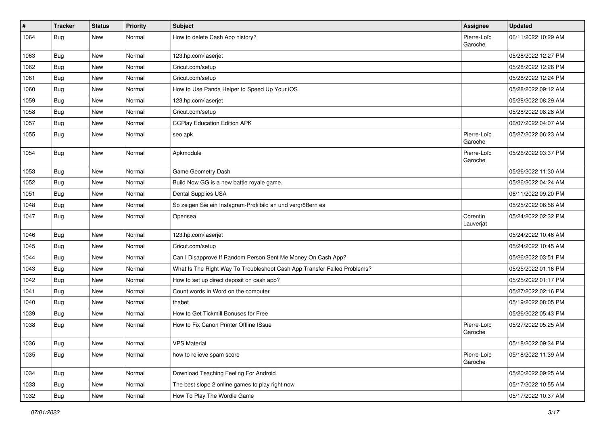| #    | <b>Tracker</b> | <b>Status</b> | <b>Priority</b> | <b>Subject</b>                                                           | Assignee               | <b>Updated</b>      |
|------|----------------|---------------|-----------------|--------------------------------------------------------------------------|------------------------|---------------------|
| 1064 | Bug            | New           | Normal          | How to delete Cash App history?                                          | Pierre-Loïc<br>Garoche | 06/11/2022 10:29 AM |
| 1063 | Bug            | New           | Normal          | 123.hp.com/laserjet                                                      |                        | 05/28/2022 12:27 PM |
| 1062 | <b>Bug</b>     | New           | Normal          | Cricut.com/setup                                                         |                        | 05/28/2022 12:26 PM |
| 1061 | <b>Bug</b>     | <b>New</b>    | Normal          | Cricut.com/setup                                                         |                        | 05/28/2022 12:24 PM |
| 1060 | <b>Bug</b>     | New           | Normal          | How to Use Panda Helper to Speed Up Your iOS                             |                        | 05/28/2022 09:12 AM |
| 1059 | Bug            | <b>New</b>    | Normal          | 123.hp.com/laserjet                                                      |                        | 05/28/2022 08:29 AM |
| 1058 | <b>Bug</b>     | New           | Normal          | Cricut.com/setup                                                         |                        | 05/28/2022 08:28 AM |
| 1057 | <b>Bug</b>     | New           | Normal          | <b>CCPlay Education Edition APK</b>                                      |                        | 06/07/2022 04:07 AM |
| 1055 | Bug            | New           | Normal          | seo apk                                                                  | Pierre-Loïc<br>Garoche | 05/27/2022 06:23 AM |
| 1054 | Bug            | <b>New</b>    | Normal          | Apkmodule                                                                | Pierre-Loïc<br>Garoche | 05/26/2022 03:37 PM |
| 1053 | <b>Bug</b>     | New           | Normal          | Game Geometry Dash                                                       |                        | 05/26/2022 11:30 AM |
| 1052 | Bug            | New           | Normal          | Build Now GG is a new battle royale game.                                |                        | 05/26/2022 04:24 AM |
| 1051 | Bug            | New           | Normal          | Dental Supplies USA                                                      |                        | 06/11/2022 09:20 PM |
| 1048 | <b>Bug</b>     | New           | Normal          | So zeigen Sie ein Instagram-Profilbild an und vergrößern es              |                        | 05/25/2022 06:56 AM |
| 1047 | Bug            | <b>New</b>    | Normal          | Opensea                                                                  | Corentin<br>Lauverjat  | 05/24/2022 02:32 PM |
| 1046 | <b>Bug</b>     | New           | Normal          | 123.hp.com/laserjet                                                      |                        | 05/24/2022 10:46 AM |
| 1045 | Bug            | New           | Normal          | Cricut.com/setup                                                         |                        | 05/24/2022 10:45 AM |
| 1044 | <b>Bug</b>     | New           | Normal          | Can I Disapprove If Random Person Sent Me Money On Cash App?             |                        | 05/26/2022 03:51 PM |
| 1043 | Bug            | <b>New</b>    | Normal          | What Is The Right Way To Troubleshoot Cash App Transfer Failed Problems? |                        | 05/25/2022 01:16 PM |
| 1042 | Bug            | New           | Normal          | How to set up direct deposit on cash app?                                |                        | 05/25/2022 01:17 PM |
| 1041 | Bug            | New           | Normal          | Count words in Word on the computer                                      |                        | 05/27/2022 02:16 PM |
| 1040 | Bug            | <b>New</b>    | Normal          | thabet                                                                   |                        | 05/19/2022 08:05 PM |
| 1039 | Bug            | New           | Normal          | How to Get Tickmill Bonuses for Free                                     |                        | 05/26/2022 05:43 PM |
| 1038 | Bug            | New           | Normal          | How to Fix Canon Printer Offline ISsue                                   | Pierre-Loïc<br>Garoche | 05/27/2022 05:25 AM |
| 1036 | Bug            | New           | Normal          | <b>VPS Material</b>                                                      |                        | 05/18/2022 09:34 PM |
| 1035 | <b>Bug</b>     | New           | Normal          | how to relieve spam score                                                | Pierre-Loïc<br>Garoche | 05/18/2022 11:39 AM |
| 1034 | <b>Bug</b>     | New           | Normal          | Download Teaching Feeling For Android                                    |                        | 05/20/2022 09:25 AM |
| 1033 | Bug            | New           | Normal          | The best slope 2 online games to play right now                          |                        | 05/17/2022 10:55 AM |
| 1032 | <b>Bug</b>     | New           | Normal          | How To Play The Wordle Game                                              |                        | 05/17/2022 10:37 AM |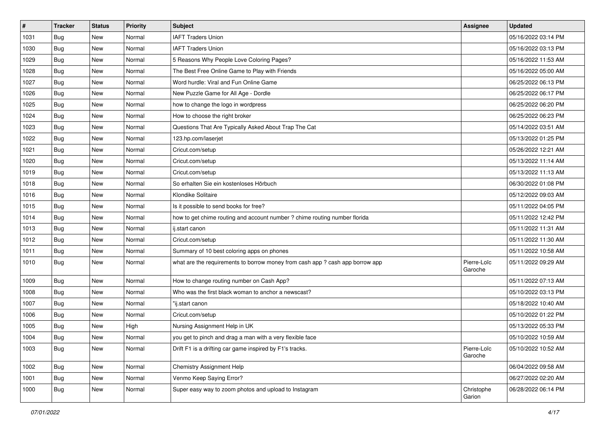| $\pmb{\#}$ | <b>Tracker</b> | <b>Status</b> | <b>Priority</b> | Subject                                                                       | <b>Assignee</b>        | <b>Updated</b>      |
|------------|----------------|---------------|-----------------|-------------------------------------------------------------------------------|------------------------|---------------------|
| 1031       | <b>Bug</b>     | New           | Normal          | <b>IAFT Traders Union</b>                                                     |                        | 05/16/2022 03:14 PM |
| 1030       | Bug            | New           | Normal          | <b>IAFT Traders Union</b>                                                     |                        | 05/16/2022 03:13 PM |
| 1029       | Bug            | New           | Normal          | 5 Reasons Why People Love Coloring Pages?                                     |                        | 05/16/2022 11:53 AM |
| 1028       | Bug            | New           | Normal          | The Best Free Online Game to Play with Friends                                |                        | 05/16/2022 05:00 AM |
| 1027       | Bug            | New           | Normal          | Word hurdle: Viral and Fun Online Game                                        |                        | 06/25/2022 06:13 PM |
| 1026       | Bug            | New           | Normal          | New Puzzle Game for All Age - Dordle                                          |                        | 06/25/2022 06:17 PM |
| 1025       | Bug            | New           | Normal          | how to change the logo in wordpress                                           |                        | 06/25/2022 06:20 PM |
| 1024       | <b>Bug</b>     | New           | Normal          | How to choose the right broker                                                |                        | 06/25/2022 06:23 PM |
| 1023       | Bug            | New           | Normal          | Questions That Are Typically Asked About Trap The Cat                         |                        | 05/14/2022 03:51 AM |
| 1022       | Bug            | New           | Normal          | 123.hp.com/laserjet                                                           |                        | 05/13/2022 01:25 PM |
| 1021       | <b>Bug</b>     | New           | Normal          | Cricut.com/setup                                                              |                        | 05/26/2022 12:21 AM |
| 1020       | Bug            | New           | Normal          | Cricut.com/setup                                                              |                        | 05/13/2022 11:14 AM |
| 1019       | Bug            | New           | Normal          | Cricut.com/setup                                                              |                        | 05/13/2022 11:13 AM |
| 1018       | Bug            | <b>New</b>    | Normal          | So erhalten Sie ein kostenloses Hörbuch                                       |                        | 06/30/2022 01:08 PM |
| 1016       | <b>Bug</b>     | New           | Normal          | Klondike Solitaire                                                            |                        | 05/12/2022 09:03 AM |
| 1015       | Bug            | New           | Normal          | Is it possible to send books for free?                                        |                        | 05/11/2022 04:05 PM |
| 1014       | <b>Bug</b>     | New           | Normal          | how to get chime routing and account number ? chime routing number florida    |                        | 05/11/2022 12:42 PM |
| 1013       | Bug            | <b>New</b>    | Normal          | ij.start canon                                                                |                        | 05/11/2022 11:31 AM |
| 1012       | Bug            | New           | Normal          | Cricut.com/setup                                                              |                        | 05/11/2022 11:30 AM |
| 1011       | Bug            | New           | Normal          | Summary of 10 best coloring apps on phones                                    |                        | 05/11/2022 10:58 AM |
| 1010       | Bug            | New           | Normal          | what are the requirements to borrow money from cash app ? cash app borrow app | Pierre-Loïc<br>Garoche | 05/11/2022 09:29 AM |
| 1009       | <b>Bug</b>     | New           | Normal          | How to change routing number on Cash App?                                     |                        | 05/11/2022 07:13 AM |
| 1008       | <b>Bug</b>     | New           | Normal          | Who was the first black woman to anchor a newscast?                           |                        | 05/10/2022 03:13 PM |
| 1007       | <b>Bug</b>     | New           | Normal          | 'ij.start canon                                                               |                        | 05/18/2022 10:40 AM |
| 1006       | Bug            | <b>New</b>    | Normal          | Cricut.com/setup                                                              |                        | 05/10/2022 01:22 PM |
| 1005       | <b>Bug</b>     | New           | High            | Nursing Assignment Help in UK                                                 |                        | 05/13/2022 05:33 PM |
| 1004       | <b>Bug</b>     | New           | Normal          | you get to pinch and drag a man with a very flexible face                     |                        | 05/10/2022 10:59 AM |
| 1003       | <b>Bug</b>     | New           | Normal          | Drift F1 is a drifting car game inspired by F1's tracks.                      | Pierre-Loïc<br>Garoche | 05/10/2022 10:52 AM |
| 1002       | <b>Bug</b>     | New           | Normal          | <b>Chemistry Assignment Help</b>                                              |                        | 06/04/2022 09:58 AM |
| 1001       | <b>Bug</b>     | New           | Normal          | Venmo Keep Saying Error?                                                      |                        | 06/27/2022 02:20 AM |
| 1000       | <b>Bug</b>     | New           | Normal          | Super easy way to zoom photos and upload to Instagram                         | Christophe<br>Garion   | 06/28/2022 06:14 PM |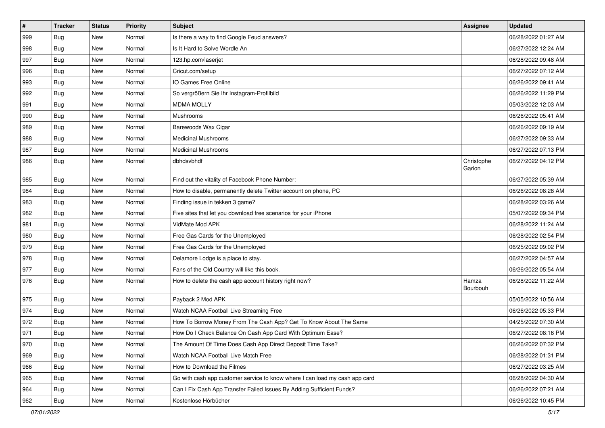| $\vert$ # | <b>Tracker</b> | <b>Status</b> | Priority | <b>Subject</b>                                                              | <b>Assignee</b>      | <b>Updated</b>      |
|-----------|----------------|---------------|----------|-----------------------------------------------------------------------------|----------------------|---------------------|
| 999       | <b>Bug</b>     | New           | Normal   | Is there a way to find Google Feud answers?                                 |                      | 06/28/2022 01:27 AM |
| 998       | Bug            | <b>New</b>    | Normal   | Is It Hard to Solve Wordle An                                               |                      | 06/27/2022 12:24 AM |
| 997       | <b>Bug</b>     | <b>New</b>    | Normal   | 123.hp.com/laserjet                                                         |                      | 06/28/2022 09:48 AM |
| 996       | <b>Bug</b>     | New           | Normal   | Cricut.com/setup                                                            |                      | 06/27/2022 07:12 AM |
| 993       | <b>Bug</b>     | <b>New</b>    | Normal   | IO Games Free Online                                                        |                      | 06/26/2022 09:41 AM |
| 992       | Bug            | New           | Normal   | So vergrößern Sie Ihr Instagram-Profilbild                                  |                      | 06/26/2022 11:29 PM |
| 991       | <b>Bug</b>     | New           | Normal   | <b>MDMA MOLLY</b>                                                           |                      | 05/03/2022 12:03 AM |
| 990       | <b>Bug</b>     | <b>New</b>    | Normal   | Mushrooms                                                                   |                      | 06/26/2022 05:41 AM |
| 989       | <b>Bug</b>     | New           | Normal   | Barewoods Wax Cigar                                                         |                      | 06/26/2022 09:19 AM |
| 988       | Bug            | <b>New</b>    | Normal   | <b>Medicinal Mushrooms</b>                                                  |                      | 06/27/2022 09:33 AM |
| 987       | Bug            | New           | Normal   | <b>Medicinal Mushrooms</b>                                                  |                      | 06/27/2022 07:13 PM |
| 986       | <b>Bug</b>     | New           | Normal   | dbhdsvbhdf                                                                  | Christophe<br>Garion | 06/27/2022 04:12 PM |
| 985       | <b>Bug</b>     | <b>New</b>    | Normal   | Find out the vitality of Facebook Phone Number:                             |                      | 06/27/2022 05:39 AM |
| 984       | <b>Bug</b>     | <b>New</b>    | Normal   | How to disable, permanently delete Twitter account on phone, PC             |                      | 06/26/2022 08:28 AM |
| 983       | <b>Bug</b>     | New           | Normal   | Finding issue in tekken 3 game?                                             |                      | 06/28/2022 03:26 AM |
| 982       | <b>Bug</b>     | New           | Normal   | Five sites that let you download free scenarios for your iPhone             |                      | 05/07/2022 09:34 PM |
| 981       | Bug            | <b>New</b>    | Normal   | VidMate Mod APK                                                             |                      | 06/28/2022 11:24 AM |
| 980       | Bug            | <b>New</b>    | Normal   | Free Gas Cards for the Unemployed                                           |                      | 06/28/2022 02:54 PM |
| 979       | Bug            | <b>New</b>    | Normal   | Free Gas Cards for the Unemployed                                           |                      | 06/25/2022 09:02 PM |
| 978       | Bug            | <b>New</b>    | Normal   | Delamore Lodge is a place to stay.                                          |                      | 06/27/2022 04:57 AM |
| 977       | <b>Bug</b>     | <b>New</b>    | Normal   | Fans of the Old Country will like this book.                                |                      | 06/26/2022 05:54 AM |
| 976       | <b>Bug</b>     | New           | Normal   | How to delete the cash app account history right now?                       | Hamza<br>Bourbouh    | 06/28/2022 11:22 AM |
| 975       | <b>Bug</b>     | New           | Normal   | Payback 2 Mod APK                                                           |                      | 05/05/2022 10:56 AM |
| 974       | Bug            | <b>New</b>    | Normal   | Watch NCAA Football Live Streaming Free                                     |                      | 06/26/2022 05:33 PM |
| 972       | <b>Bug</b>     | New           | Normal   | How To Borrow Money From The Cash App? Get To Know About The Same           |                      | 04/25/2022 07:30 AM |
| 971       | <b>Bug</b>     | New           | Normal   | How Do I Check Balance On Cash App Card With Optimum Ease?                  |                      | 06/27/2022 08:16 PM |
| 970       | Bug            | New           | Normal   | The Amount Of Time Does Cash App Direct Deposit Time Take?                  |                      | 06/26/2022 07:32 PM |
| 969       | Bug            | New           | Normal   | Watch NCAA Football Live Match Free                                         |                      | 06/28/2022 01:31 PM |
| 966       | <b>Bug</b>     | <b>New</b>    | Normal   | How to Download the Filmes                                                  |                      | 06/27/2022 03:25 AM |
| 965       | <b>Bug</b>     | New           | Normal   | Go with cash app customer service to know where I can load my cash app card |                      | 06/28/2022 04:30 AM |
| 964       | <b>Bug</b>     | New           | Normal   | Can I Fix Cash App Transfer Failed Issues By Adding Sufficient Funds?       |                      | 06/26/2022 07:21 AM |
| 962       | <b>Bug</b>     | New           | Normal   | Kostenlose Hörbücher                                                        |                      | 06/26/2022 10:45 PM |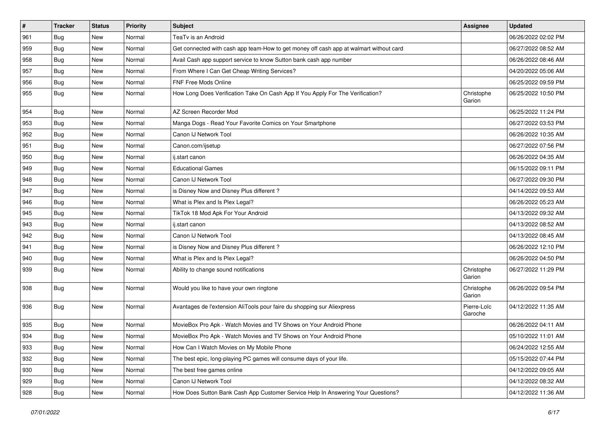| $\vert$ # | <b>Tracker</b> | <b>Status</b> | <b>Priority</b> | <b>Subject</b>                                                                         | Assignee               | <b>Updated</b>      |
|-----------|----------------|---------------|-----------------|----------------------------------------------------------------------------------------|------------------------|---------------------|
| 961       | <b>Bug</b>     | New           | Normal          | TeaTv is an Android                                                                    |                        | 06/26/2022 02:02 PM |
| 959       | Bug            | <b>New</b>    | Normal          | Get connected with cash app team-How to get money off cash app at walmart without card |                        | 06/27/2022 08:52 AM |
| 958       | <b>Bug</b>     | New           | Normal          | Avail Cash app support service to know Sutton bank cash app number                     |                        | 06/26/2022 08:46 AM |
| 957       | Bug            | New           | Normal          | From Where I Can Get Cheap Writing Services?                                           |                        | 04/20/2022 05:06 AM |
| 956       | <b>Bug</b>     | <b>New</b>    | Normal          | <b>FNF Free Mods Online</b>                                                            |                        | 06/25/2022 09:59 PM |
| 955       | Bug            | New           | Normal          | How Long Does Verification Take On Cash App If You Apply For The Verification?         | Christophe<br>Garion   | 06/25/2022 10:50 PM |
| 954       | Bug            | <b>New</b>    | Normal          | AZ Screen Recorder Mod                                                                 |                        | 06/25/2022 11:24 PM |
| 953       | <b>Bug</b>     | <b>New</b>    | Normal          | Manga Dogs - Read Your Favorite Comics on Your Smartphone                              |                        | 06/27/2022 03:53 PM |
| 952       | Bug            | <b>New</b>    | Normal          | Canon IJ Network Tool                                                                  |                        | 06/26/2022 10:35 AM |
| 951       | Bug            | New           | Normal          | Canon.com/ijsetup                                                                      |                        | 06/27/2022 07:56 PM |
| 950       | Bug            | New           | Normal          | ij.start canon                                                                         |                        | 06/26/2022 04:35 AM |
| 949       | Bug            | <b>New</b>    | Normal          | <b>Educational Games</b>                                                               |                        | 06/15/2022 09:11 PM |
| 948       | Bug            | New           | Normal          | Canon IJ Network Tool                                                                  |                        | 06/27/2022 09:30 PM |
| 947       | Bug            | New           | Normal          | is Disney Now and Disney Plus different?                                               |                        | 04/14/2022 09:53 AM |
| 946       | Bug            | New           | Normal          | What is Plex and Is Plex Legal?                                                        |                        | 06/26/2022 05:23 AM |
| 945       | Bug            | <b>New</b>    | Normal          | TikTok 18 Mod Apk For Your Android                                                     |                        | 04/13/2022 09:32 AM |
| 943       | Bug            | <b>New</b>    | Normal          | ij.start canon                                                                         |                        | 04/13/2022 08:52 AM |
| 942       | Bug            | New           | Normal          | Canon IJ Network Tool                                                                  |                        | 04/13/2022 08:45 AM |
| 941       | Bug            | New           | Normal          | is Disney Now and Disney Plus different?                                               |                        | 06/26/2022 12:10 PM |
| 940       | Bug            | <b>New</b>    | Normal          | What is Plex and Is Plex Legal?                                                        |                        | 06/26/2022 04:50 PM |
| 939       | Bug            | New           | Normal          | Ability to change sound notifications                                                  | Christophe<br>Garion   | 06/27/2022 11:29 PM |
| 938       | Bug            | New           | Normal          | Would you like to have your own ringtone                                               | Christophe<br>Garion   | 06/26/2022 09:54 PM |
| 936       | Bug            | <b>New</b>    | Normal          | Avantages de l'extension AliTools pour faire du shopping sur Aliexpress                | Pierre-Loïc<br>Garoche | 04/12/2022 11:35 AM |
| 935       | Bug            | New           | Normal          | MovieBox Pro Apk - Watch Movies and TV Shows on Your Android Phone                     |                        | 06/26/2022 04:11 AM |
| 934       | <b>Bug</b>     | <b>New</b>    | Normal          | MovieBox Pro Apk - Watch Movies and TV Shows on Your Android Phone                     |                        | 05/10/2022 11:01 AM |
| 933       | Bug            | New           | Normal          | How Can I Watch Movies on My Mobile Phone                                              |                        | 06/24/2022 12:55 AM |
| 932       | Bug            | New           | Normal          | The best epic, long-playing PC games will consume days of your life.                   |                        | 05/15/2022 07:44 PM |
| 930       | <b>Bug</b>     | New           | Normal          | The best free games online                                                             |                        | 04/12/2022 09:05 AM |
| 929       | Bug            | New           | Normal          | Canon IJ Network Tool                                                                  |                        | 04/12/2022 08:32 AM |
| 928       | <b>Bug</b>     | New           | Normal          | How Does Sutton Bank Cash App Customer Service Help In Answering Your Questions?       |                        | 04/12/2022 11:36 AM |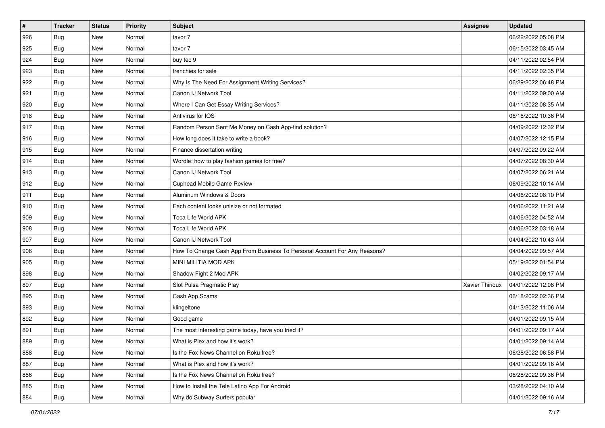| $\sharp$ | <b>Tracker</b> | <b>Status</b> | <b>Priority</b> | Subject                                                                   | <b>Assignee</b> | <b>Updated</b>      |
|----------|----------------|---------------|-----------------|---------------------------------------------------------------------------|-----------------|---------------------|
| 926      | <b>Bug</b>     | New           | Normal          | tavor 7                                                                   |                 | 06/22/2022 05:08 PM |
| 925      | <b>Bug</b>     | New           | Normal          | tavor 7                                                                   |                 | 06/15/2022 03:45 AM |
| 924      | Bug            | New           | Normal          | buy tec 9                                                                 |                 | 04/11/2022 02:54 PM |
| 923      | <b>Bug</b>     | <b>New</b>    | Normal          | frenchies for sale                                                        |                 | 04/11/2022 02:35 PM |
| 922      | Bug            | New           | Normal          | Why Is The Need For Assignment Writing Services?                          |                 | 06/29/2022 06:48 PM |
| 921      | <b>Bug</b>     | New           | Normal          | Canon IJ Network Tool                                                     |                 | 04/11/2022 09:00 AM |
| 920      | Bug            | New           | Normal          | Where I Can Get Essay Writing Services?                                   |                 | 04/11/2022 08:35 AM |
| 918      | <b>Bug</b>     | New           | Normal          | Antivirus for IOS                                                         |                 | 06/16/2022 10:36 PM |
| 917      | Bug            | New           | Normal          | Random Person Sent Me Money on Cash App-find solution?                    |                 | 04/09/2022 12:32 PM |
| 916      | Bug            | New           | Normal          | How long does it take to write a book?                                    |                 | 04/07/2022 12:15 PM |
| 915      | <b>Bug</b>     | New           | Normal          | Finance dissertation writing                                              |                 | 04/07/2022 09:22 AM |
| 914      | Bug            | New           | Normal          | Wordle: how to play fashion games for free?                               |                 | 04/07/2022 08:30 AM |
| 913      | Bug            | New           | Normal          | Canon IJ Network Tool                                                     |                 | 04/07/2022 06:21 AM |
| 912      | <b>Bug</b>     | New           | Normal          | <b>Cuphead Mobile Game Review</b>                                         |                 | 06/09/2022 10:14 AM |
| 911      | <b>Bug</b>     | <b>New</b>    | Normal          | Aluminum Windows & Doors                                                  |                 | 04/06/2022 08:10 PM |
| 910      | Bug            | New           | Normal          | Each content looks unisize or not formated                                |                 | 04/06/2022 11:21 AM |
| 909      | <b>Bug</b>     | New           | Normal          | <b>Toca Life World APK</b>                                                |                 | 04/06/2022 04:52 AM |
| 908      | Bug            | New           | Normal          | Toca Life World APK                                                       |                 | 04/06/2022 03:18 AM |
| 907      | Bug            | New           | Normal          | Canon IJ Network Tool                                                     |                 | 04/04/2022 10:43 AM |
| 906      | Bug            | New           | Normal          | How To Change Cash App From Business To Personal Account For Any Reasons? |                 | 04/04/2022 09:57 AM |
| 905      | <b>Bug</b>     | New           | Normal          | MINI MILITIA MOD APK                                                      |                 | 05/19/2022 01:54 PM |
| 898      | Bug            | New           | Normal          | Shadow Fight 2 Mod APK                                                    |                 | 04/02/2022 09:17 AM |
| 897      | Bug            | New           | Normal          | Slot Pulsa Pragmatic Play                                                 | Xavier Thirioux | 04/01/2022 12:08 PM |
| 895      | <b>Bug</b>     | New           | Normal          | Cash App Scams                                                            |                 | 06/18/2022 02:36 PM |
| 893      | Bug            | New           | Normal          | klingeltone                                                               |                 | 04/13/2022 11:06 AM |
| 892      | Bug            | New           | Normal          | Good game                                                                 |                 | 04/01/2022 09:15 AM |
| 891      | <b>Bug</b>     | New           | Normal          | The most interesting game today, have you tried it?                       |                 | 04/01/2022 09:17 AM |
| 889      | I Bug          | New           | Normal          | What is Plex and how it's work?                                           |                 | 04/01/2022 09:14 AM |
| 888      | <b>Bug</b>     | New           | Normal          | Is the Fox News Channel on Roku free?                                     |                 | 06/28/2022 06:58 PM |
| 887      | <b>Bug</b>     | New           | Normal          | What is Plex and how it's work?                                           |                 | 04/01/2022 09:16 AM |
| 886      | <b>Bug</b>     | New           | Normal          | Is the Fox News Channel on Roku free?                                     |                 | 06/28/2022 09:36 PM |
| 885      | <b>Bug</b>     | New           | Normal          | How to Install the Tele Latino App For Android                            |                 | 03/28/2022 04:10 AM |
| 884      | <b>Bug</b>     | New           | Normal          | Why do Subway Surfers popular                                             |                 | 04/01/2022 09:16 AM |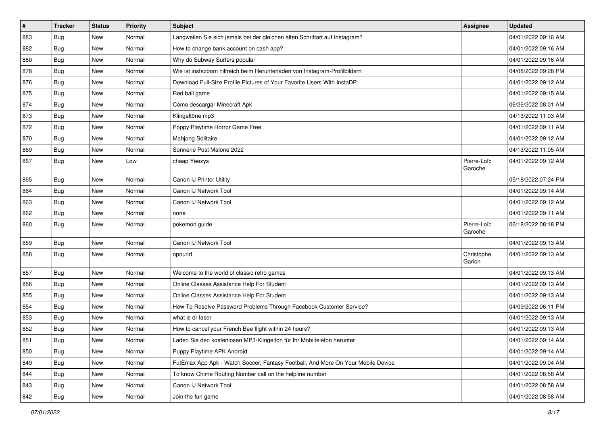| $\sharp$ | <b>Tracker</b> | <b>Status</b> | <b>Priority</b> | Subject                                                                          | Assignee               | <b>Updated</b>      |
|----------|----------------|---------------|-----------------|----------------------------------------------------------------------------------|------------------------|---------------------|
| 883      | <b>Bug</b>     | New           | Normal          | Langweilen Sie sich jemals bei der gleichen alten Schriftart auf Instagram?      |                        | 04/01/2022 09:16 AM |
| 882      | <b>Bug</b>     | New           | Normal          | How to change bank account on cash app?                                          |                        | 04/01/2022 09:16 AM |
| 880      | Bug            | New           | Normal          | Why do Subway Surfers popular                                                    |                        | 04/01/2022 09:16 AM |
| 878      | Bug            | New           | Normal          | Wie ist instazoom hilfreich beim Herunterladen von Instagram-Profilbildern       |                        | 04/08/2022 09:28 PM |
| 876      | <b>Bug</b>     | New           | Normal          | Download Full-Size Profile Pictures of Your Favorite Users With InstaDP          |                        | 04/01/2022 09:12 AM |
| 875      | Bug            | New           | Normal          | Red ball game                                                                    |                        | 04/01/2022 09:15 AM |
| 874      | Bug            | New           | Normal          | Cómo descargar Minecraft Apk                                                     |                        | 06/26/2022 08:01 AM |
| 873      | <b>Bug</b>     | New           | Normal          | Klingeltöne mp3                                                                  |                        | 04/13/2022 11:03 AM |
| 872      | Bug            | New           | Normal          | Poppy Playtime Horror Game Free                                                  |                        | 04/01/2022 09:11 AM |
| 870      | Bug            | New           | Normal          | Mahjong Solitaire                                                                |                        | 04/01/2022 09:12 AM |
| 869      | <b>Bug</b>     | New           | Normal          | Sonnerie Post Malone 2022                                                        |                        | 04/13/2022 11:05 AM |
| 867      | Bug            | New           | Low             | cheap Yeezys                                                                     | Pierre-Loïc<br>Garoche | 04/01/2022 09:12 AM |
| 865      | <b>Bug</b>     | New           | Normal          | Canon IJ Printer Utility                                                         |                        | 05/18/2022 07:24 PM |
| 864      | <b>Bug</b>     | New           | Normal          | Canon IJ Network Tool                                                            |                        | 04/01/2022 09:14 AM |
| 863      | <b>Bug</b>     | New           | Normal          | Canon IJ Network Tool                                                            |                        | 04/01/2022 09:12 AM |
| 862      | <b>Bug</b>     | New           | Normal          | none                                                                             |                        | 04/01/2022 09:11 AM |
| 860      | Bug            | New           | Normal          | pokemon guide                                                                    | Pierre-Loïc<br>Garoche | 06/18/2022 08:18 PM |
| 859      | Bug            | New           | Normal          | Canon IJ Network Tool                                                            |                        | 04/01/2022 09:13 AM |
| 858      | Bug            | New           | Normal          | opourid                                                                          | Christophe<br>Garion   | 04/01/2022 09:13 AM |
| 857      | <b>Bug</b>     | New           | Normal          | Welcome to the world of classic retro games                                      |                        | 04/01/2022 09:13 AM |
| 856      | Bug            | New           | Normal          | Online Classes Assistance Help For Student                                       |                        | 04/01/2022 09:13 AM |
| 855      | <b>Bug</b>     | <b>New</b>    | Normal          | Online Classes Assistance Help For Student                                       |                        | 04/01/2022 09:13 AM |
| 854      | Bug            | New           | Normal          | How To Resolve Password Problems Through Facebook Customer Service?              |                        | 04/09/2022 06:11 PM |
| 853      | <b>Bug</b>     | New           | Normal          | what is dr laser                                                                 |                        | 04/01/2022 09:13 AM |
| 852      | <b>Bug</b>     | New           | Normal          | How to cancel your French Bee flight within 24 hours?                            |                        | 04/01/2022 09:13 AM |
| 851      | Bug            | New           | Normal          | aden Sie den kostenlosen MP3-Klingelton für Ihr Mobiltelefon herunter            |                        | 04/01/2022 09:14 AM |
| 850      | <b>Bug</b>     | New           | Normal          | Puppy Playtime APK Android                                                       |                        | 04/01/2022 09:14 AM |
| 849      | <b>Bug</b>     | New           | Normal          | FutEmax App Apk - Watch Soccer, Fantasy Football, And More On Your Mobile Device |                        | 04/01/2022 09:04 AM |
| 844      | <b>Bug</b>     | New           | Normal          | To know Chime Routing Number call on the helpline number                         |                        | 04/01/2022 08:58 AM |
| 843      | Bug            | New           | Normal          | Canon IJ Network Tool                                                            |                        | 04/01/2022 08:58 AM |
| 842      | <b>Bug</b>     | New           | Normal          | Join the fun game                                                                |                        | 04/01/2022 08:58 AM |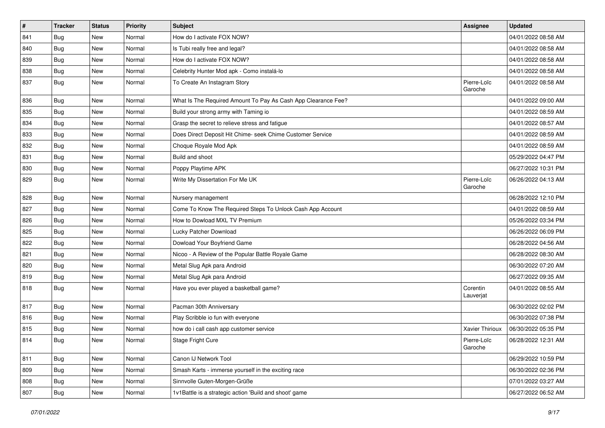| $\sharp$ | <b>Tracker</b> | <b>Status</b> | <b>Priority</b> | Subject                                                       | <b>Assignee</b>        | <b>Updated</b>      |
|----------|----------------|---------------|-----------------|---------------------------------------------------------------|------------------------|---------------------|
| 841      | <b>Bug</b>     | New           | Normal          | How do I activate FOX NOW?                                    |                        | 04/01/2022 08:58 AM |
| 840      | Bug            | <b>New</b>    | Normal          | Is Tubi really free and legal?                                |                        | 04/01/2022 08:58 AM |
| 839      | Bug            | New           | Normal          | How do I activate FOX NOW?                                    |                        | 04/01/2022 08:58 AM |
| 838      | Bug            | New           | Normal          | Celebrity Hunter Mod apk - Como instalá-lo                    |                        | 04/01/2022 08:58 AM |
| 837      | <b>Bug</b>     | <b>New</b>    | Normal          | To Create An Instagram Story                                  | Pierre-Loïc<br>Garoche | 04/01/2022 08:58 AM |
| 836      | <b>Bug</b>     | New           | Normal          | What Is The Required Amount To Pay As Cash App Clearance Fee? |                        | 04/01/2022 09:00 AM |
| 835      | Bug            | New           | Normal          | Build your strong army with Taming io                         |                        | 04/01/2022 08:59 AM |
| 834      | Bug            | <b>New</b>    | Normal          | Grasp the secret to relieve stress and fatigue                |                        | 04/01/2022 08:57 AM |
| 833      | <b>Bug</b>     | <b>New</b>    | Normal          | Does Direct Deposit Hit Chime- seek Chime Customer Service    |                        | 04/01/2022 08:59 AM |
| 832      | Bug            | New           | Normal          | Choque Royale Mod Apk                                         |                        | 04/01/2022 08:59 AM |
| 831      | <b>Bug</b>     | New           | Normal          | Build and shoot                                               |                        | 05/29/2022 04:47 PM |
| 830      | Bug            | New           | Normal          | Poppy Playtime APK                                            |                        | 06/27/2022 10:31 PM |
| 829      | Bug            | New           | Normal          | Write My Dissertation For Me UK                               | Pierre-Loïc<br>Garoche | 06/26/2022 04:13 AM |
| 828      | <b>Bug</b>     | New           | Normal          | Nursery management                                            |                        | 06/28/2022 12:10 PM |
| 827      | <b>Bug</b>     | <b>New</b>    | Normal          | Come To Know The Required Steps To Unlock Cash App Account    |                        | 04/01/2022 08:59 AM |
| 826      | <b>Bug</b>     | <b>New</b>    | Normal          | How to Dowload MXL TV Premium                                 |                        | 05/26/2022 03:34 PM |
| 825      | Bug            | New           | Normal          | Lucky Patcher Download                                        |                        | 06/26/2022 06:09 PM |
| 822      | Bug            | New           | Normal          | Dowload Your Boyfriend Game                                   |                        | 06/28/2022 04:56 AM |
| 821      | <b>Bug</b>     | New           | Normal          | Nicoo - A Review of the Popular Battle Royale Game            |                        | 06/28/2022 08:30 AM |
| 820      | Bug            | <b>New</b>    | Normal          | Metal Slug Apk para Android                                   |                        | 06/30/2022 07:20 AM |
| 819      | Bug            | <b>New</b>    | Normal          | Metal Slug Apk para Android                                   |                        | 06/27/2022 09:35 AM |
| 818      | Bug            | <b>New</b>    | Normal          | Have you ever played a basketball game?                       | Corentin<br>Lauverjat  | 04/01/2022 08:55 AM |
| 817      | Bug            | New           | Normal          | Pacman 30th Anniversary                                       |                        | 06/30/2022 02:02 PM |
| 816      | <b>Bug</b>     | New           | Normal          | Play Scribble io fun with everyone                            |                        | 06/30/2022 07:38 PM |
| 815      | <b>Bug</b>     | <b>New</b>    | Normal          | how do i call cash app customer service                       | Xavier Thirioux        | 06/30/2022 05:35 PM |
| 814      | Bug            | New           | Normal          | Stage Fright Cure                                             | Pierre-Loïc<br>Garoche | 06/28/2022 12:31 AM |
| 811      | <b>Bug</b>     | New           | Normal          | Canon IJ Network Tool                                         |                        | 06/29/2022 10:59 PM |
| 809      | <b>Bug</b>     | New           | Normal          | Smash Karts - immerse yourself in the exciting race           |                        | 06/30/2022 02:36 PM |
| 808      | Bug            | New           | Normal          | Sinnvolle Guten-Morgen-Grüße                                  |                        | 07/01/2022 03:27 AM |
| 807      | <b>Bug</b>     | New           | Normal          | 1v1Battle is a strategic action 'Build and shoot' game        |                        | 06/27/2022 06:52 AM |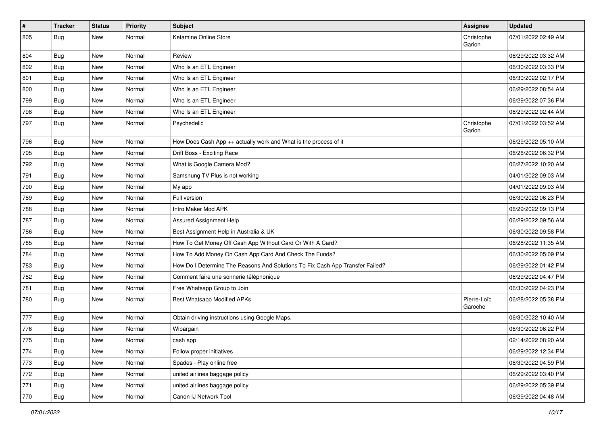| $\sharp$ | <b>Tracker</b> | <b>Status</b> | Priority | Subject                                                                       | <b>Assignee</b>        | <b>Updated</b>      |
|----------|----------------|---------------|----------|-------------------------------------------------------------------------------|------------------------|---------------------|
| 805      | Bug            | New           | Normal   | Ketamine Online Store                                                         | Christophe<br>Garion   | 07/01/2022 02:49 AM |
| 804      | <b>Bug</b>     | New           | Normal   | Review                                                                        |                        | 06/29/2022 03:32 AM |
| 802      | <b>Bug</b>     | New           | Normal   | Who Is an ETL Engineer                                                        |                        | 06/30/2022 03:33 PM |
| 801      | Bug            | New           | Normal   | Who Is an ETL Engineer                                                        |                        | 06/30/2022 02:17 PM |
| 800      | <b>Bug</b>     | New           | Normal   | Who Is an ETL Engineer                                                        |                        | 06/29/2022 08:54 AM |
| 799      | Bug            | New           | Normal   | Who Is an ETL Engineer                                                        |                        | 06/29/2022 07:36 PM |
| 798      | <b>Bug</b>     | New           | Normal   | Who Is an ETL Engineer                                                        |                        | 06/29/2022 02:44 AM |
| 797      | <b>Bug</b>     | New           | Normal   | Psychedelic                                                                   | Christophe<br>Garion   | 07/01/2022 03:52 AM |
| 796      | Bug            | New           | Normal   | How Does Cash App $++$ actually work and What is the process of it            |                        | 06/29/2022 05:10 AM |
| 795      | <b>Bug</b>     | New           | Normal   | Drift Boss - Exciting Race                                                    |                        | 06/26/2022 06:32 PM |
| 792      | Bug            | New           | Normal   | What is Google Camera Mod?                                                    |                        | 06/27/2022 10:20 AM |
| 791      | <b>Bug</b>     | New           | Normal   | Samsnung TV Plus is not working                                               |                        | 04/01/2022 09:03 AM |
| 790      | <b>Bug</b>     | New           | Normal   | My app                                                                        |                        | 04/01/2022 09:03 AM |
| 789      | Bug            | New           | Normal   | Full version                                                                  |                        | 06/30/2022 06:23 PM |
| 788      | <b>Bug</b>     | New           | Normal   | Intro Maker Mod APK                                                           |                        | 06/29/2022 09:13 PM |
| 787      | Bug            | New           | Normal   | Assured Assignment Help                                                       |                        | 06/29/2022 09:56 AM |
| 786      | <b>Bug</b>     | New           | Normal   | Best Assignment Help in Australia & UK                                        |                        | 06/30/2022 09:58 PM |
| 785      | <b>Bug</b>     | New           | Normal   | How To Get Money Off Cash App Without Card Or With A Card?                    |                        | 06/28/2022 11:35 AM |
| 784      | <b>Bug</b>     | New           | Normal   | How To Add Money On Cash App Card And Check The Funds?                        |                        | 06/30/2022 05:09 PM |
| 783      | <b>Bug</b>     | New           | Normal   | How Do I Determine The Reasons And Solutions To Fix Cash App Transfer Failed? |                        | 06/29/2022 01:42 PM |
| 782      | Bug            | New           | Normal   | Comment faire une sonnerie téléphonique                                       |                        | 06/29/2022 04:47 PM |
| 781      | <b>Bug</b>     | New           | Normal   | Free Whatsapp Group to Join                                                   |                        | 06/30/2022 04:23 PM |
| 780      | Bug            | New           | Normal   | Best Whatsapp Modified APKs                                                   | Pierre-Loïc<br>Garoche | 06/28/2022 05:38 PM |
| 777      | Bug            | New           | Normal   | Obtain driving instructions using Google Maps.                                |                        | 06/30/2022 10:40 AM |
| 776      | <b>Bug</b>     | New           | Normal   | Wibargain                                                                     |                        | 06/30/2022 06:22 PM |
| 775      | Bug            | New           | Normal   | cash app                                                                      |                        | 02/14/2022 08:20 AM |
| 774      | <b>Bug</b>     | New           | Normal   | Follow proper initiatives                                                     |                        | 06/29/2022 12:34 PM |
| 773      | <b>Bug</b>     | New           | Normal   | Spades - Play online free                                                     |                        | 06/30/2022 04:59 PM |
| 772      | <b>Bug</b>     | New           | Normal   | united airlines baggage policy                                                |                        | 06/29/2022 03:40 PM |
| 771      | Bug            | New           | Normal   | united airlines baggage policy                                                |                        | 06/29/2022 05:39 PM |
| 770      | <b>Bug</b>     | New           | Normal   | Canon IJ Network Tool                                                         |                        | 06/29/2022 04:48 AM |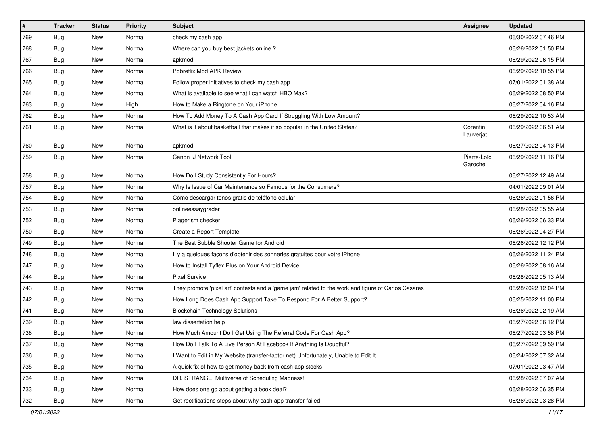| $\sharp$ | <b>Tracker</b> | <b>Status</b> | Priority | Subject                                                                                             | <b>Assignee</b>        | <b>Updated</b>      |
|----------|----------------|---------------|----------|-----------------------------------------------------------------------------------------------------|------------------------|---------------------|
| 769      | <b>Bug</b>     | New           | Normal   | check my cash app                                                                                   |                        | 06/30/2022 07:46 PM |
| 768      | Bug            | <b>New</b>    | Normal   | Where can you buy best jackets online?                                                              |                        | 06/26/2022 01:50 PM |
| 767      | <b>Bug</b>     | New           | Normal   | apkmod                                                                                              |                        | 06/29/2022 06:15 PM |
| 766      | Bug            | New           | Normal   | Pobreflix Mod APK Review                                                                            |                        | 06/29/2022 10:55 PM |
| 765      | Bug            | New           | Normal   | Follow proper initiatives to check my cash app                                                      |                        | 07/01/2022 01:38 AM |
| 764      | <b>Bug</b>     | New           | Normal   | What is available to see what I can watch HBO Max?                                                  |                        | 06/29/2022 08:50 PM |
| 763      | Bug            | <b>New</b>    | High     | How to Make a Ringtone on Your iPhone                                                               |                        | 06/27/2022 04:16 PM |
| 762      | <b>Bug</b>     | New           | Normal   | How To Add Money To A Cash App Card If Struggling With Low Amount?                                  |                        | 06/29/2022 10:53 AM |
| 761      | <b>Bug</b>     | New           | Normal   | What is it about basketball that makes it so popular in the United States?                          | Corentin<br>Lauverjat  | 06/29/2022 06:51 AM |
| 760      | <b>Bug</b>     | New           | Normal   | apkmod                                                                                              |                        | 06/27/2022 04:13 PM |
| 759      | Bug            | New           | Normal   | Canon IJ Network Tool                                                                               | Pierre-Loïc<br>Garoche | 06/29/2022 11:16 PM |
| 758      | <b>Bug</b>     | New           | Normal   | How Do I Study Consistently For Hours?                                                              |                        | 06/27/2022 12:49 AM |
| 757      | <b>Bug</b>     | New           | Normal   | Why Is Issue of Car Maintenance so Famous for the Consumers?                                        |                        | 04/01/2022 09:01 AM |
| 754      | Bug            | New           | Normal   | Cómo descargar tonos gratis de teléfono celular                                                     |                        | 06/26/2022 01:56 PM |
| 753      | <b>Bug</b>     | New           | Normal   | onlineessaygrader                                                                                   |                        | 06/28/2022 05:55 AM |
| 752      | Bug            | New           | Normal   | Plagerism checker                                                                                   |                        | 06/26/2022 06:33 PM |
| 750      | <b>Bug</b>     | <b>New</b>    | Normal   | Create a Report Template                                                                            |                        | 06/26/2022 04:27 PM |
| 749      | Bug            | New           | Normal   | The Best Bubble Shooter Game for Android                                                            |                        | 06/26/2022 12:12 PM |
| 748      | <b>Bug</b>     | New           | Normal   | Il y a quelques façons d'obtenir des sonneries gratuites pour votre iPhone                          |                        | 06/26/2022 11:24 PM |
| 747      | Bug            | New           | Normal   | How to Install Tyflex Plus on Your Android Device                                                   |                        | 06/26/2022 08:16 AM |
| 744      | Bug            | <b>New</b>    | Normal   | <b>Pixel Survive</b>                                                                                |                        | 06/28/2022 05:13 AM |
| 743      | <b>Bug</b>     | New           | Normal   | They promote 'pixel art' contests and a 'game jam' related to the work and figure of Carlos Casares |                        | 06/28/2022 12:04 PM |
| 742      | Bug            | New           | Normal   | How Long Does Cash App Support Take To Respond For A Better Support?                                |                        | 06/25/2022 11:00 PM |
| 741      | Bug            | New           | Normal   | <b>Blockchain Technology Solutions</b>                                                              |                        | 06/26/2022 02:19 AM |
| 739      | <b>Bug</b>     | New           | Normal   | law dissertation help                                                                               |                        | 06/27/2022 06:12 PM |
| 738      | <b>Bug</b>     | <b>New</b>    | Normal   | How Much Amount Do I Get Using The Referral Code For Cash App?                                      |                        | 06/27/2022 03:58 PM |
| 737      | Bug            | New           | Normal   | How Do I Talk To A Live Person At Facebook If Anything Is Doubtful?                                 |                        | 06/27/2022 09:59 PM |
| 736      | Bug            | New           | Normal   | I Want to Edit in My Website (transfer-factor.net) Unfortunately, Unable to Edit It                 |                        | 06/24/2022 07:32 AM |
| 735      | <b>Bug</b>     | New           | Normal   | A quick fix of how to get money back from cash app stocks                                           |                        | 07/01/2022 03:47 AM |
| 734      | <b>Bug</b>     | New           | Normal   | DR. STRANGE: Multiverse of Scheduling Madness!                                                      |                        | 06/28/2022 07:07 AM |
| 733      | Bug            | New           | Normal   | How does one go about getting a book deal?                                                          |                        | 06/28/2022 06:35 PM |
| 732      | <b>Bug</b>     | New           | Normal   | Get rectifications steps about why cash app transfer failed                                         |                        | 06/26/2022 03:28 PM |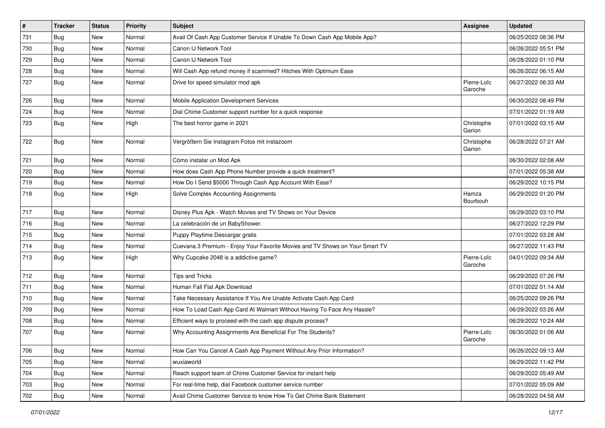| #   | <b>Tracker</b> | <b>Status</b> | <b>Priority</b> | <b>Subject</b>                                                               | <b>Assignee</b>        | <b>Updated</b>      |
|-----|----------------|---------------|-----------------|------------------------------------------------------------------------------|------------------------|---------------------|
| 731 | <b>Bug</b>     | New           | Normal          | Avail Of Cash App Customer Service If Unable To Down Cash App Mobile App?    |                        | 06/25/2022 08:36 PM |
| 730 | <b>Bug</b>     | New           | Normal          | Canon IJ Network Tool                                                        |                        | 06/26/2022 05:51 PM |
| 729 | <b>Bug</b>     | New           | Normal          | Canon IJ Network Tool                                                        |                        | 06/28/2022 01:10 PM |
| 728 | <b>Bug</b>     | New           | Normal          | Will Cash App refund money if scammed? Hitches With Optimum Ease             |                        | 06/26/2022 06:15 AM |
| 727 | <b>Bug</b>     | New           | Normal          | Drive for speed simulator mod apk                                            | Pierre-Loïc<br>Garoche | 06/27/2022 06:33 AM |
| 726 | <b>Bug</b>     | New           | Normal          | Mobile Application Development Services                                      |                        | 06/30/2022 08:49 PM |
| 724 | <b>Bug</b>     | <b>New</b>    | Normal          | Dial Chime Customer support number for a quick response                      |                        | 07/01/2022 01:19 AM |
| 723 | <b>Bug</b>     | New           | High            | The best horror game in 2021                                                 | Christophe<br>Garion   | 07/01/2022 03:15 AM |
| 722 | Bug            | New           | Normal          | Vergrößern Sie Instagram-Fotos mit instazoom                                 | Christophe<br>Garion   | 06/28/2022 07:21 AM |
| 721 | <b>Bug</b>     | New           | Normal          | Cómo instalar un Mod Apk                                                     |                        | 06/30/2022 02:08 AM |
| 720 | Bug            | New           | Normal          | How does Cash App Phone Number provide a quick treatment?                    |                        | 07/01/2022 05:38 AM |
| 719 | <b>Bug</b>     | New           | Normal          | How Do I Send \$5000 Through Cash App Account With Ease?                     |                        | 06/29/2022 10:15 PM |
| 718 | Bug            | New           | High            | Solve Complex Accounting Assignments                                         | Hamza<br>Bourbouh      | 06/29/2022 01:20 PM |
| 717 | Bug            | New           | Normal          | Disney Plus Apk - Watch Movies and TV Shows on Your Device                   |                        | 06/29/2022 03:10 PM |
| 716 | <b>Bug</b>     | New           | Normal          | La celebración de un BabyShower.                                             |                        | 06/27/2022 12:29 PM |
| 715 | <b>Bug</b>     | <b>New</b>    | Normal          | Puppy Playtime Descargar gratis                                              |                        | 07/01/2022 03:28 AM |
| 714 | Bug            | New           | Normal          | Cuevana 3 Premium - Enjoy Your Favorite Movies and TV Shows on Your Smart TV |                        | 06/27/2022 11:43 PM |
| 713 | Bug            | New           | High            | Why Cupcake 2048 is a addictive game?                                        | Pierre-Loïc<br>Garoche | 04/01/2022 09:34 AM |
| 712 | Bug            | <b>New</b>    | Normal          | <b>Tips and Tricks</b>                                                       |                        | 06/29/2022 07:26 PM |
| 711 | <b>Bug</b>     | New           | Normal          | Human Fall Flat Apk Download                                                 |                        | 07/01/2022 01:14 AM |
| 710 | Bug            | New           | Normal          | Take Necessary Assistance If You Are Unable Activate Cash App Card           |                        | 06/25/2022 09:26 PM |
| 709 | <b>Bug</b>     | New           | Normal          | How To Load Cash App Card At Walmart Without Having To Face Any Hassle?      |                        | 06/29/2022 03:26 AM |
| 708 | <b>Bug</b>     | New           | Normal          | Efficient ways to proceed with the cash app dispute process?                 |                        | 06/29/2022 10:24 AM |
| 707 | <b>Bug</b>     | New           | Normal          | Why Accounting Assignments Are Beneficial For The Students?                  | Pierre-Loïc<br>Garoche | 06/30/2022 01:06 AM |
| 706 | <b>Bug</b>     | New           | Normal          | How Can You Cancel A Cash App Payment Without Any Prior Information?         |                        | 06/26/2022 09:13 AM |
| 705 | Bug            | New           | Normal          | wuxiaworld                                                                   |                        | 06/29/2022 11:42 PM |
| 704 | Bug            | New           | Normal          | Reach support team of Chime Customer Service for instant help                |                        | 06/29/2022 05:49 AM |
| 703 | Bug            | New           | Normal          | For real-time help, dial Facebook customer service number                    |                        | 07/01/2022 05:09 AM |
| 702 | Bug            | New           | Normal          | Avail Chime Customer Service to know How To Get Chime Bank Statement         |                        | 06/28/2022 04:58 AM |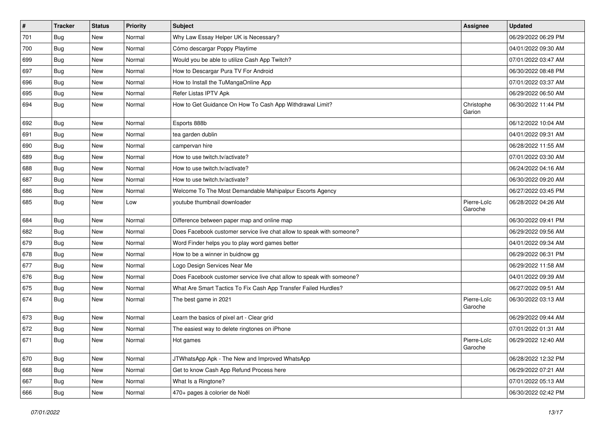| $\pmb{\#}$ | <b>Tracker</b> | <b>Status</b> | <b>Priority</b> | Subject                                                               | <b>Assignee</b>        | <b>Updated</b>      |
|------------|----------------|---------------|-----------------|-----------------------------------------------------------------------|------------------------|---------------------|
| 701        | <b>Bug</b>     | <b>New</b>    | Normal          | Why Law Essay Helper UK is Necessary?                                 |                        | 06/29/2022 06:29 PM |
| 700        | <b>Bug</b>     | New           | Normal          | Cómo descargar Poppy Playtime                                         |                        | 04/01/2022 09:30 AM |
| 699        | <b>Bug</b>     | New           | Normal          | Would you be able to utilize Cash App Twitch?                         |                        | 07/01/2022 03:47 AM |
| 697        | <b>Bug</b>     | New           | Normal          | How to Descargar Pura TV For Android                                  |                        | 06/30/2022 08:48 PM |
| 696        | <b>Bug</b>     | <b>New</b>    | Normal          | How to Install the TuMangaOnline App                                  |                        | 07/01/2022 03:37 AM |
| 695        | <b>Bug</b>     | New           | Normal          | Refer Listas IPTV Apk                                                 |                        | 06/29/2022 06:50 AM |
| 694        | <b>Bug</b>     | New           | Normal          | How to Get Guidance On How To Cash App Withdrawal Limit?              | Christophe<br>Garion   | 06/30/2022 11:44 PM |
| 692        | <b>Bug</b>     | <b>New</b>    | Normal          | Esports 888b                                                          |                        | 06/12/2022 10:04 AM |
| 691        | Bug            | New           | Normal          | tea garden dublin                                                     |                        | 04/01/2022 09:31 AM |
| 690        | <b>Bug</b>     | New           | Normal          | campervan hire                                                        |                        | 06/28/2022 11:55 AM |
| 689        | <b>Bug</b>     | New           | Normal          | How to use twitch.tv/activate?                                        |                        | 07/01/2022 03:30 AM |
| 688        | <b>Bug</b>     | <b>New</b>    | Normal          | How to use twitch.tv/activate?                                        |                        | 06/24/2022 04:16 AM |
| 687        | <b>Bug</b>     | <b>New</b>    | Normal          | How to use twitch.tv/activate?                                        |                        | 06/30/2022 09:20 AM |
| 686        | Bug            | New           | Normal          | Welcome To The Most Demandable Mahipalpur Escorts Agency              |                        | 06/27/2022 03:45 PM |
| 685        | <b>Bug</b>     | New           | Low             | youtube thumbnail downloader                                          | Pierre-Loïc<br>Garoche | 06/28/2022 04:26 AM |
| 684        | Bug            | New           | Normal          | Difference between paper map and online map                           |                        | 06/30/2022 09:41 PM |
| 682        | <b>Bug</b>     | New           | Normal          | Does Facebook customer service live chat allow to speak with someone? |                        | 06/29/2022 09:56 AM |
| 679        | Bug            | New           | Normal          | Word Finder helps you to play word games better                       |                        | 04/01/2022 09:34 AM |
| 678        | <b>Bug</b>     | New           | Normal          | How to be a winner in buidnow gg                                      |                        | 06/29/2022 06:31 PM |
| 677        | <b>Bug</b>     | New           | Normal          | Logo Design Services Near Me                                          |                        | 06/29/2022 11:58 AM |
| 676        | Bug            | New           | Normal          | Does Facebook customer service live chat allow to speak with someone? |                        | 04/01/2022 09:39 AM |
| 675        | <b>Bug</b>     | New           | Normal          | What Are Smart Tactics To Fix Cash App Transfer Failed Hurdles?       |                        | 06/27/2022 09:51 AM |
| 674        | <b>Bug</b>     | New           | Normal          | The best game in 2021                                                 | Pierre-Loïc<br>Garoche | 06/30/2022 03:13 AM |
| 673        | <b>Bug</b>     | New           | Normal          | Learn the basics of pixel art - Clear grid                            |                        | 06/29/2022 09:44 AM |
| 672        | <b>Bug</b>     | New           | Normal          | The easiest way to delete ringtones on iPhone                         |                        | 07/01/2022 01:31 AM |
| 671        | <b>Bug</b>     | New           | Normal          | Hot games                                                             | Pierre-Loïc<br>Garoche | 06/29/2022 12:40 AM |
| 670        | <b>Bug</b>     | New           | Normal          | JTWhatsApp Apk - The New and Improved WhatsApp                        |                        | 06/28/2022 12:32 PM |
| 668        | <b>Bug</b>     | New           | Normal          | Get to know Cash App Refund Process here                              |                        | 06/29/2022 07:21 AM |
| 667        | <b>Bug</b>     | New           | Normal          | What Is a Ringtone?                                                   |                        | 07/01/2022 05:13 AM |
| 666        | <b>Bug</b>     | New           | Normal          | 470+ pages à colorier de Noël                                         |                        | 06/30/2022 02:42 PM |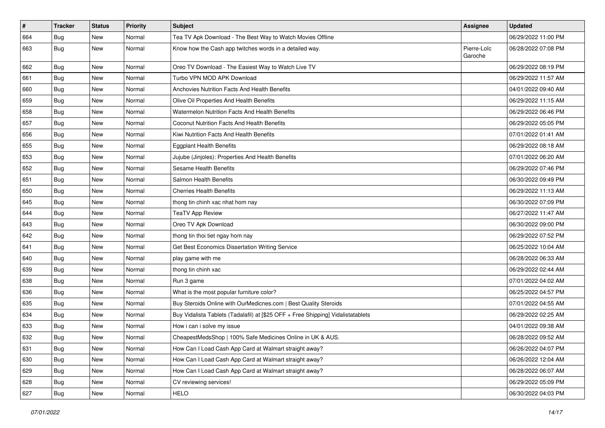| $\vert$ # | <b>Tracker</b> | <b>Status</b> | Priority | <b>Subject</b>                                                                   | <b>Assignee</b>        | <b>Updated</b>      |
|-----------|----------------|---------------|----------|----------------------------------------------------------------------------------|------------------------|---------------------|
| 664       | <b>Bug</b>     | New           | Normal   | Tea TV Apk Download - The Best Way to Watch Movies Offline                       |                        | 06/29/2022 11:00 PM |
| 663       | <b>Bug</b>     | New           | Normal   | Know how the Cash app twitches words in a detailed way.                          | Pierre-Loïc<br>Garoche | 06/28/2022 07:08 PM |
| 662       | Bug            | New           | Normal   | Oreo TV Download - The Easiest Way to Watch Live TV                              |                        | 06/29/2022 08:19 PM |
| 661       | Bug            | <b>New</b>    | Normal   | Turbo VPN MOD APK Download                                                       |                        | 06/29/2022 11:57 AM |
| 660       | Bug            | <b>New</b>    | Normal   | Anchovies Nutrition Facts And Health Benefits                                    |                        | 04/01/2022 09:40 AM |
| 659       | <b>Bug</b>     | New           | Normal   | Olive Oil Properties And Health Benefits                                         |                        | 06/29/2022 11:15 AM |
| 658       | Bug            | <b>New</b>    | Normal   | Watermelon Nutrition Facts And Health Benefits                                   |                        | 06/29/2022 06:46 PM |
| 657       | Bug            | New           | Normal   | Coconut Nutrition Facts And Health Benefits                                      |                        | 06/29/2022 05:05 PM |
| 656       | Bug            | <b>New</b>    | Normal   | Kiwi Nutrition Facts And Health Benefits                                         |                        | 07/01/2022 01:41 AM |
| 655       | Bug            | <b>New</b>    | Normal   | <b>Eggplant Health Benefits</b>                                                  |                        | 06/29/2022 08:18 AM |
| 653       | <b>Bug</b>     | New           | Normal   | Jujube (Jinjoles): Properties And Health Benefits                                |                        | 07/01/2022 06:20 AM |
| 652       | <b>Bug</b>     | <b>New</b>    | Normal   | Sesame Health Benefits                                                           |                        | 06/29/2022 07:46 PM |
| 651       | Bug            | New           | Normal   | Salmon Health Benefits                                                           |                        | 06/30/2022 09:49 PM |
| 650       | Bug            | New           | Normal   | <b>Cherries Health Benefits</b>                                                  |                        | 06/29/2022 11:13 AM |
| 645       | <b>Bug</b>     | New           | Normal   | thong tin chinh xac nhat hom nay                                                 |                        | 06/30/2022 07:09 PM |
| 644       | <b>Bug</b>     | New           | Normal   | <b>TeaTV App Review</b>                                                          |                        | 06/27/2022 11:47 AM |
| 643       | Bug            | <b>New</b>    | Normal   | Oreo TV Apk Download                                                             |                        | 06/30/2022 09:00 PM |
| 642       | Bug            | New           | Normal   | thong tin thoi tiet ngay hom nay                                                 |                        | 06/29/2022 07:52 PM |
| 641       | <b>Bug</b>     | <b>New</b>    | Normal   | Get Best Economics Dissertation Writing Service                                  |                        | 06/25/2022 10:04 AM |
| 640       | Bug            | <b>New</b>    | Normal   | play game with me                                                                |                        | 06/28/2022 06:33 AM |
| 639       | <b>Bug</b>     | <b>New</b>    | Normal   | thong tin chinh xac                                                              |                        | 06/29/2022 02:44 AM |
| 638       | Bug            | <b>New</b>    | Normal   | Run 3 game                                                                       |                        | 07/01/2022 04:02 AM |
| 636       | <b>Bug</b>     | New           | Normal   | What is the most popular furniture color?                                        |                        | 06/25/2022 04:57 PM |
| 635       | <b>Bug</b>     | New           | Normal   | Buy Steroids Online with OurMedicnes.com   Best Quality Steroids                 |                        | 07/01/2022 04:55 AM |
| 634       | <b>Bug</b>     | <b>New</b>    | Normal   | Buy Vidalista Tablets (Tadalafil) at [\$25 OFF + Free Shipping] Vidalistatablets |                        | 06/29/2022 02:25 AM |
| 633       | <b>Bug</b>     | New           | Normal   | How i can i solve my issue                                                       |                        | 04/01/2022 09:38 AM |
| 632       | <b>Bug</b>     | New           | Normal   | CheapestMedsShop   100% Safe Medicines Online in UK & AUS.                       |                        | 06/28/2022 09:52 AM |
| 631       | <b>Bug</b>     | New           | Normal   | How Can I Load Cash App Card at Walmart straight away?                           |                        | 06/26/2022 04:07 PM |
| 630       | Bug            | New           | Normal   | How Can I Load Cash App Card at Walmart straight away?                           |                        | 06/26/2022 12:04 AM |
| 629       | Bug            | New           | Normal   | How Can I Load Cash App Card at Walmart straight away?                           |                        | 06/28/2022 06:07 AM |
| 628       | <b>Bug</b>     | New           | Normal   | CV reviewing services!                                                           |                        | 06/29/2022 05:09 PM |
| 627       | <b>Bug</b>     | New           | Normal   | <b>HELO</b>                                                                      |                        | 06/30/2022 04:03 PM |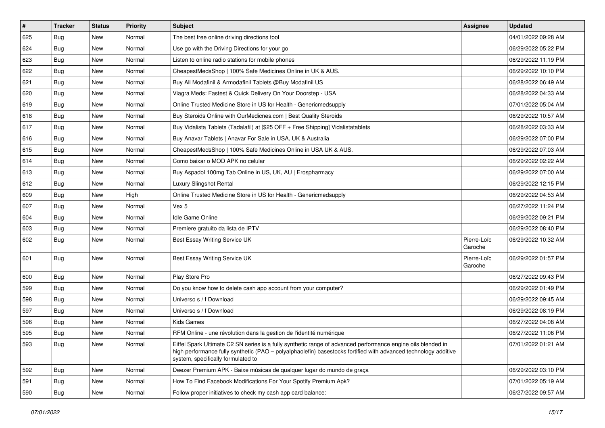| $\pmb{\#}$ | Tracker    | <b>Status</b> | <b>Priority</b> | <b>Subject</b>                                                                                                                                                                                                                                                        | <b>Assignee</b>        | <b>Updated</b>      |
|------------|------------|---------------|-----------------|-----------------------------------------------------------------------------------------------------------------------------------------------------------------------------------------------------------------------------------------------------------------------|------------------------|---------------------|
| 625        | Bug        | New           | Normal          | The best free online driving directions tool                                                                                                                                                                                                                          |                        | 04/01/2022 09:28 AM |
| 624        | Bug        | <b>New</b>    | Normal          | Use go with the Driving Directions for your go                                                                                                                                                                                                                        |                        | 06/29/2022 05:22 PM |
| 623        | Bug        | New           | Normal          | Listen to online radio stations for mobile phones                                                                                                                                                                                                                     |                        | 06/29/2022 11:19 PM |
| 622        | <b>Bug</b> | New           | Normal          | CheapestMedsShop   100% Safe Medicines Online in UK & AUS.                                                                                                                                                                                                            |                        | 06/29/2022 10:10 PM |
| 621        | Bug        | <b>New</b>    | Normal          | Buy All Modafinil & Armodafinil Tablets @Buy Modafinil US                                                                                                                                                                                                             |                        | 06/28/2022 06:49 AM |
| 620        | Bug        | New           | Normal          | Viagra Meds: Fastest & Quick Delivery On Your Doorstep - USA                                                                                                                                                                                                          |                        | 06/28/2022 04:33 AM |
| 619        | Bug        | New           | Normal          | Online Trusted Medicine Store in US for Health - Genericmedsupply                                                                                                                                                                                                     |                        | 07/01/2022 05:04 AM |
| 618        | Bug        | New           | Normal          | Buy Steroids Online with OurMedicnes.com   Best Quality Steroids                                                                                                                                                                                                      |                        | 06/29/2022 10:57 AM |
| 617        | Bug        | New           | Normal          | Buy Vidalista Tablets (Tadalafil) at [\$25 OFF + Free Shipping] Vidalistatablets                                                                                                                                                                                      |                        | 06/28/2022 03:33 AM |
| 616        | Bug        | <b>New</b>    | Normal          | Buy Anavar Tablets   Anavar For Sale in USA, UK & Australia                                                                                                                                                                                                           |                        | 06/29/2022 07:00 PM |
| 615        | <b>Bug</b> | New           | Normal          | CheapestMedsShop   100% Safe Medicines Online in USA UK & AUS.                                                                                                                                                                                                        |                        | 06/29/2022 07:03 AM |
| 614        | Bug        | New           | Normal          | Como baixar o MOD APK no celular                                                                                                                                                                                                                                      |                        | 06/29/2022 02:22 AM |
| 613        | Bug        | New           | Normal          | Buy Aspadol 100mg Tab Online in US, UK, AU   Erospharmacy                                                                                                                                                                                                             |                        | 06/29/2022 07:00 AM |
| 612        | <b>Bug</b> | New           | Normal          | Luxury Slingshot Rental                                                                                                                                                                                                                                               |                        | 06/29/2022 12:15 PM |
| 609        | Bug        | <b>New</b>    | High            | Online Trusted Medicine Store in US for Health - Genericmedsupply                                                                                                                                                                                                     |                        | 06/29/2022 04:53 AM |
| 607        | <b>Bug</b> | New           | Normal          | Vex 5                                                                                                                                                                                                                                                                 |                        | 06/27/2022 11:24 PM |
| 604        | <b>Bug</b> | New           | Normal          | Idle Game Online                                                                                                                                                                                                                                                      |                        | 06/29/2022 09:21 PM |
| 603        | Bug        | New           | Normal          | Premiere gratuito da lista de IPTV                                                                                                                                                                                                                                    |                        | 06/29/2022 08:40 PM |
| 602        | Bug        | New           | Normal          | Best Essay Writing Service UK                                                                                                                                                                                                                                         | Pierre-Loïc<br>Garoche | 06/29/2022 10:32 AM |
| 601        | Bug        | <b>New</b>    | Normal          | Best Essay Writing Service UK                                                                                                                                                                                                                                         | Pierre-Loïc<br>Garoche | 06/29/2022 01:57 PM |
| 600        | Bug        | <b>New</b>    | Normal          | Play Store Pro                                                                                                                                                                                                                                                        |                        | 06/27/2022 09:43 PM |
| 599        | <b>Bug</b> | New           | Normal          | Do you know how to delete cash app account from your computer?                                                                                                                                                                                                        |                        | 06/29/2022 01:49 PM |
| 598        | Bug        | New           | Normal          | Universo s / f Download                                                                                                                                                                                                                                               |                        | 06/29/2022 09:45 AM |
| 597        | Bug        | <b>New</b>    | Normal          | Universo s / f Download                                                                                                                                                                                                                                               |                        | 06/29/2022 08:19 PM |
| 596        | <b>Bug</b> | New           | Normal          | Kids Games                                                                                                                                                                                                                                                            |                        | 06/27/2022 04:08 AM |
| 595        | <b>Bug</b> | New           | Normal          | RFM Online - une révolution dans la gestion de l'identité numérique                                                                                                                                                                                                   |                        | 06/27/2022 11:06 PM |
| 593        | <b>Bug</b> | New           | Normal          | Eiffel Spark Ultimate C2 SN series is a fully synthetic range of advanced performance engine oils blended in<br>high performance fully synthetic (PAO - polyalphaolefin) basestocks fortified with advanced technology additive<br>system, specifically formulated to |                        | 07/01/2022 01:21 AM |
| 592        | Bug        | New           | Normal          | Deezer Premium APK - Baixe músicas de qualquer lugar do mundo de graça                                                                                                                                                                                                |                        | 06/29/2022 03:10 PM |
| 591        | <b>Bug</b> | New           | Normal          | How To Find Facebook Modifications For Your Spotify Premium Apk?                                                                                                                                                                                                      |                        | 07/01/2022 05:19 AM |
| 590        | <b>Bug</b> | New           | Normal          | Follow proper initiatives to check my cash app card balance:                                                                                                                                                                                                          |                        | 06/27/2022 09:57 AM |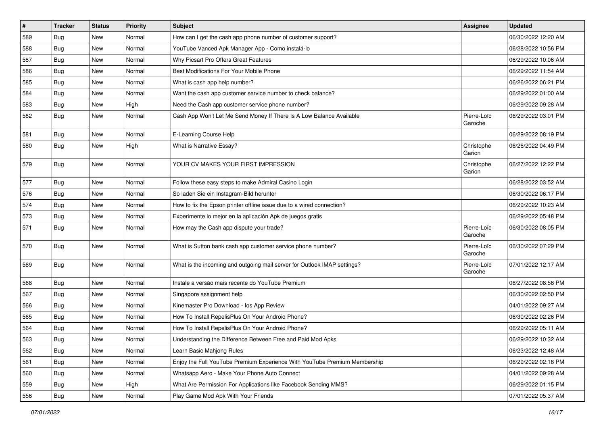| $\pmb{\#}$ | Tracker    | <b>Status</b> | <b>Priority</b> | <b>Subject</b>                                                            | <b>Assignee</b>        | <b>Updated</b>      |
|------------|------------|---------------|-----------------|---------------------------------------------------------------------------|------------------------|---------------------|
| 589        | Bug        | New           | Normal          | How can I get the cash app phone number of customer support?              |                        | 06/30/2022 12:20 AM |
| 588        | <b>Bug</b> | New           | Normal          | YouTube Vanced Apk Manager App - Como instalá-lo                          |                        | 06/28/2022 10:56 PM |
| 587        | <b>Bug</b> | New           | Normal          | Why Picsart Pro Offers Great Features                                     |                        | 06/29/2022 10:06 AM |
| 586        | <b>Bug</b> | New           | Normal          | Best Modifications For Your Mobile Phone                                  |                        | 06/29/2022 11:54 AM |
| 585        | <b>Bug</b> | New           | Normal          | What is cash app help number?                                             |                        | 06/26/2022 06:21 PM |
| 584        | Bug        | New           | Normal          | Want the cash app customer service number to check balance?               |                        | 06/29/2022 01:00 AM |
| 583        | <b>Bug</b> | New           | High            | Need the Cash app customer service phone number?                          |                        | 06/29/2022 09:28 AM |
| 582        | <b>Bug</b> | New           | Normal          | Cash App Won't Let Me Send Money If There Is A Low Balance Available      | Pierre-Loïc<br>Garoche | 06/29/2022 03:01 PM |
| 581        | Bug        | <b>New</b>    | Normal          | E-Learning Course Help                                                    |                        | 06/29/2022 08:19 PM |
| 580        | <b>Bug</b> | New           | High            | What is Narrative Essay?                                                  | Christophe<br>Garion   | 06/26/2022 04:49 PM |
| 579        | Bug        | <b>New</b>    | Normal          | YOUR CV MAKES YOUR FIRST IMPRESSION                                       | Christophe<br>Garion   | 06/27/2022 12:22 PM |
| 577        | Bug        | <b>New</b>    | Normal          | Follow these easy steps to make Admiral Casino Login                      |                        | 06/28/2022 03:52 AM |
| 576        | <b>Bug</b> | New           | Normal          | So laden Sie ein Instagram-Bild herunter                                  |                        | 06/30/2022 06:17 PM |
| 574        | Bug        | New           | Normal          | How to fix the Epson printer offline issue due to a wired connection?     |                        | 06/29/2022 10:23 AM |
| 573        | Bug        | New           | Normal          | Experimente lo mejor en la aplicación Apk de juegos gratis                |                        | 06/29/2022 05:48 PM |
| 571        | <b>Bug</b> | New           | Normal          | How may the Cash app dispute your trade?                                  | Pierre-Loïc<br>Garoche | 06/30/2022 08:05 PM |
| 570        | <b>Bug</b> | <b>New</b>    | Normal          | What is Sutton bank cash app customer service phone number?               | Pierre-Loïc<br>Garoche | 06/30/2022 07:29 PM |
| 569        | Bug        | New           | Normal          | What is the incoming and outgoing mail server for Outlook IMAP settings?  | Pierre-Loïc<br>Garoche | 07/01/2022 12:17 AM |
| 568        | Bug        | New           | Normal          | Instale a versão mais recente do YouTube Premium                          |                        | 06/27/2022 08:56 PM |
| 567        | Bug        | New           | Normal          | Singapore assignment help                                                 |                        | 06/30/2022 02:50 PM |
| 566        | Bug        | New           | Normal          | Kinemaster Pro Download - los App Review                                  |                        | 04/01/2022 09:27 AM |
| 565        | Bug        | New           | Normal          | How To Install RepelisPlus On Your Android Phone?                         |                        | 06/30/2022 02:26 PM |
| 564        | <b>Bug</b> | <b>New</b>    | Normal          | How To Install RepelisPlus On Your Android Phone?                         |                        | 06/29/2022 05:11 AM |
| 563        | Bug        | New           | Normal          | Understanding the Difference Between Free and Paid Mod Apks               |                        | 06/29/2022 10:32 AM |
| 562        | <b>Bug</b> | New           | Normal          | Learn Basic Mahjong Rules                                                 |                        | 06/23/2022 12:48 AM |
| 561        | <b>Bug</b> | New           | Normal          | Enjoy the Full YouTube Premium Experience With YouTube Premium Membership |                        | 06/29/2022 02:18 PM |
| 560        | <b>Bug</b> | New           | Normal          | Whatsapp Aero - Make Your Phone Auto Connect                              |                        | 04/01/2022 09:28 AM |
| 559        | <b>Bug</b> | New           | High            | What Are Permission For Applications like Facebook Sending MMS?           |                        | 06/29/2022 01:15 PM |
| 556        | Bug        | New           | Normal          | Play Game Mod Apk With Your Friends                                       |                        | 07/01/2022 05:37 AM |